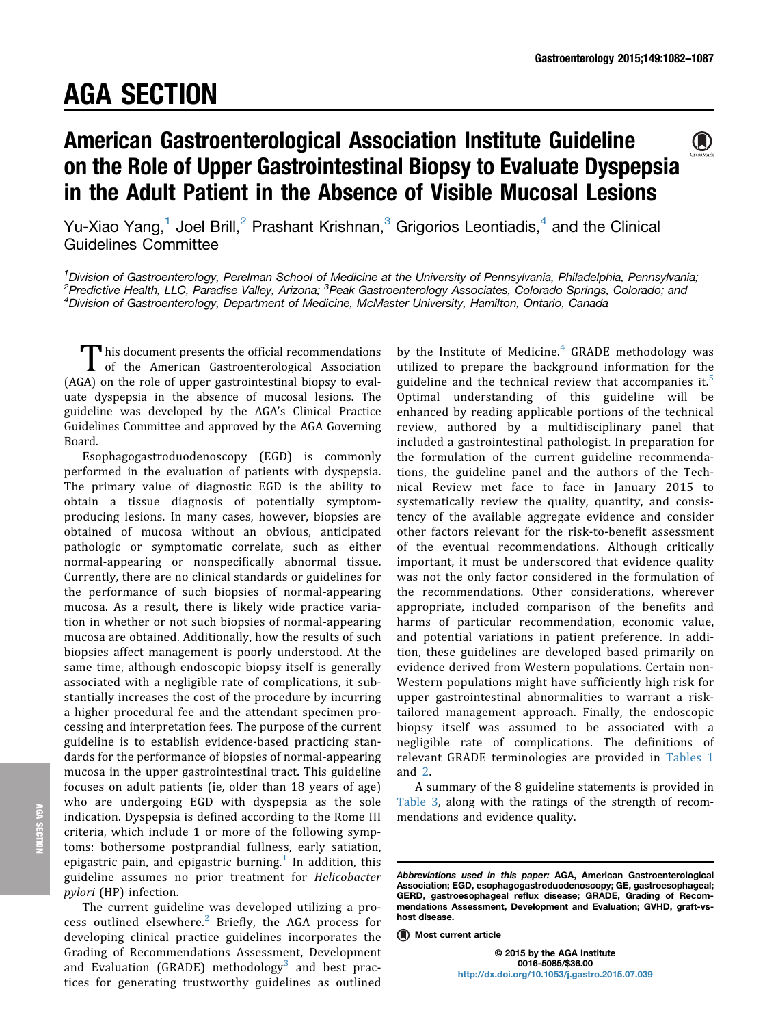# AGA SECTION

# American Gastroenterological Association Institute Guideline on the Role of Upper Gastrointestinal Biopsy to Evaluate Dyspepsia in the Adult Patient in the Absence of Visible Mucosal Lesions

Yu-Xiao Yang,<sup>1</sup> Joel Brill,<sup>2</sup> Prashant Krishnan,<sup>3</sup> Grigorios Leontiadis,<sup>4</sup> and the Clinical Guidelines Committee

<sup>1</sup>Division of Gastroenterology, Perelman School of Medicine at the University of Pennsylvania, Philadelphia, Pennsylvania; <sup>2</sup>Predictive Health, LLC, Paradise Valley, Arizona; <sup>3</sup>Peak Gastroenterology Associates, Colorado Springs, Colorado; and<br><sup>4</sup>Division of Gastroenterology, Department of Medicine, McMaster University, Hamilton, Ontario, Can <sup>4</sup>Division of Gastroenterology, Department of Medicine, McMaster University, Hamilton, Ontario, Canada

This document presents the official recommendations<br>
of the American Gastroenterological Association<br>  $\sum_{n=1}^{\infty}$ (AGA) on the role of upper gastrointestinal biopsy to evaluate dyspepsia in the absence of mucosal lesions. The guideline was developed by the AGA's Clinical Practice Guidelines Committee and approved by the AGA Governing Board.

Esophagogastroduodenoscopy (EGD) is commonly performed in the evaluation of patients with dyspepsia. The primary value of diagnostic EGD is the ability to obtain a tissue diagnosis of potentially symptomproducing lesions. In many cases, however, biopsies are obtained of mucosa without an obvious, anticipated pathologic or symptomatic correlate, such as either normal-appearing or nonspecifically abnormal tissue. Currently, there are no clinical standards or guidelines for the performance of such biopsies of normal-appearing mucosa. As a result, there is likely wide practice variation in whether or not such biopsies of normal-appearing mucosa are obtained. Additionally, how the results of such biopsies affect management is poorly understood. At the same time, although endoscopic biopsy itself is generally associated with a negligible rate of complications, it substantially increases the cost of the procedure by incurring a higher procedural fee and the attendant specimen processing and interpretation fees. The purpose of the current guideline is to establish evidence-based practicing standards for the performance of biopsies of normal-appearing mucosa in the upper gastrointestinal tract. This guideline focuses on adult patients (ie, older than 18 years of age) who are undergoing EGD with dyspepsia as the sole indication. Dyspepsia is defined according to the Rome III criteria, which include 1 or more of the following symptoms: bothersome postprandial fullness, early satiation, epigastric pain, and epigastric burning.<sup>[1](#page-4-0)</sup> In addition, this guideline assumes no prior treatment for Helicobacter pylori (HP) infection.

The current guideline was developed utilizing a process outlined elsewhere. $2$  Briefly, the AGA process for developing clinical practice guidelines incorporates the Grading of Recommendations Assessment, Development and Evaluation (GRADE) methodology<sup>[3](#page-4-0)</sup> and best practices for generating trustworthy guidelines as outlined

by the Institute of Medicine. $4$  GRADE methodology was utilized to prepare the background information for the guideline and the technical review that accompanies it.<sup>[5](#page-4-0)</sup> Optimal understanding of this guideline will be enhanced by reading applicable portions of the technical review, authored by a multidisciplinary panel that included a gastrointestinal pathologist. In preparation for the formulation of the current guideline recommendations, the guideline panel and the authors of the Technical Review met face to face in January 2015 to systematically review the quality, quantity, and consistency of the available aggregate evidence and consider other factors relevant for the risk-to-benefit assessment of the eventual recommendations. Although critically important, it must be underscored that evidence quality was not the only factor considered in the formulation of the recommendations. Other considerations, wherever appropriate, included comparison of the benefits and harms of particular recommendation, economic value, and potential variations in patient preference. In addition, these guidelines are developed based primarily on evidence derived from Western populations. Certain non-Western populations might have sufficiently high risk for upper gastrointestinal abnormalities to warrant a risktailored management approach. Finally, the endoscopic biopsy itself was assumed to be associated with a negligible rate of complications. The definitions of relevant GRADE terminologies are provided in [Tables 1](#page-1-0) and [2.](#page-1-0)

A summary of the 8 guideline statements is provided in [Table 3,](#page-2-0) along with the ratings of the strength of recommendations and evidence quality.



Abbreviations used in this paper: AGA, American Gastroenterological Association; EGD, esophagogastroduodenoscopy; GE, gastroesophageal; GERD, gastroesophageal reflux disease; GRADE, Grading of Recommendations Assessment, Development and Evaluation; GVHD, graft-vshost disease.

**<sup>(</sup>A)** Most current article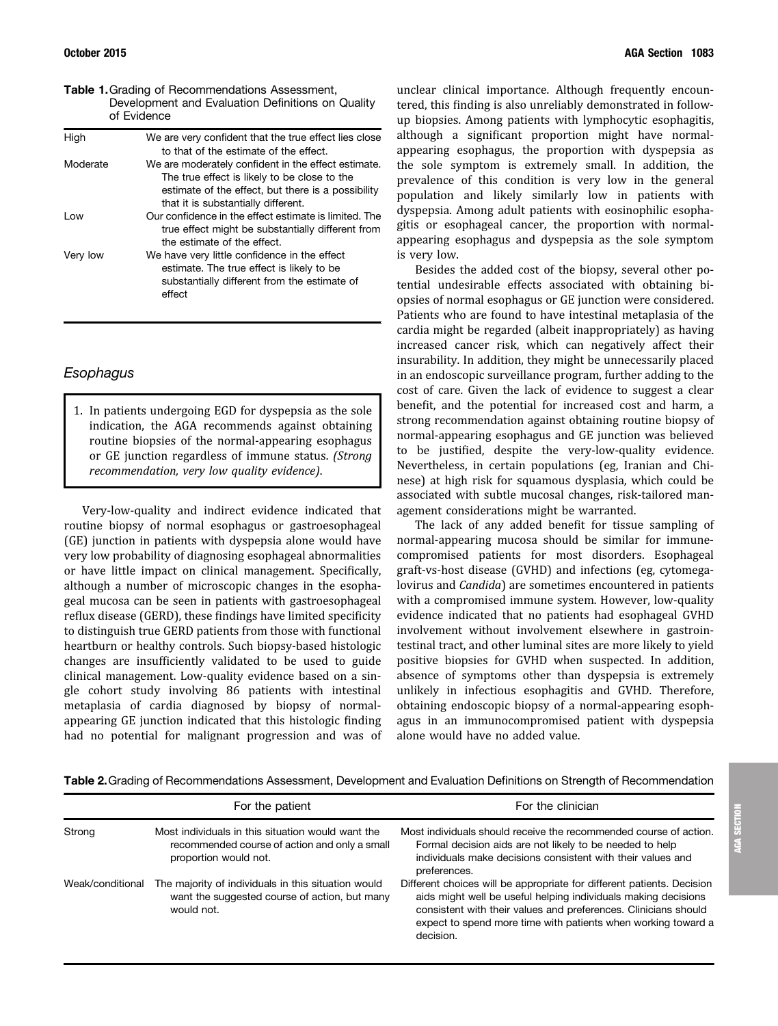of Evidence

<span id="page-1-0"></span>Table 1.Grading of Recommendations Assessment, Development and Evaluation Definitions on Quality

| High     | We are very confident that the true effect lies close<br>to that of the estimate of the effect.                                                                                                  |  |
|----------|--------------------------------------------------------------------------------------------------------------------------------------------------------------------------------------------------|--|
| Moderate | We are moderately confident in the effect estimate.<br>The true effect is likely to be close to the<br>estimate of the effect, but there is a possibility<br>that it is substantially different. |  |
| Low      | Our confidence in the effect estimate is limited. The<br>true effect might be substantially different from<br>the estimate of the effect.                                                        |  |
| Very low | We have very little confidence in the effect<br>estimate. The true effect is likely to be<br>substantially different from the estimate of<br>effect                                              |  |

#### Esophagus

1. In patients undergoing EGD for dyspepsia as the sole indication, the AGA recommends against obtaining routine biopsies of the normal-appearing esophagus or GE junction regardless of immune status. (Strong recommendation, very low quality evidence).

Very-low-quality and indirect evidence indicated that routine biopsy of normal esophagus or gastroesophageal (GE) junction in patients with dyspepsia alone would have very low probability of diagnosing esophageal abnormalities or have little impact on clinical management. Specifically, although a number of microscopic changes in the esophageal mucosa can be seen in patients with gastroesophageal reflux disease (GERD), these findings have limited specificity to distinguish true GERD patients from those with functional heartburn or healthy controls. Such biopsy-based histologic changes are insufficiently validated to be used to guide clinical management. Low-quality evidence based on a single cohort study involving 86 patients with intestinal metaplasia of cardia diagnosed by biopsy of normalappearing GE junction indicated that this histologic finding had no potential for malignant progression and was of

unclear clinical importance. Although frequently encountered, this finding is also unreliably demonstrated in followup biopsies. Among patients with lymphocytic esophagitis, although a significant proportion might have normalappearing esophagus, the proportion with dyspepsia as the sole symptom is extremely small. In addition, the prevalence of this condition is very low in the general population and likely similarly low in patients with dyspepsia. Among adult patients with eosinophilic esophagitis or esophageal cancer, the proportion with normalappearing esophagus and dyspepsia as the sole symptom is very low.

Besides the added cost of the biopsy, several other potential undesirable effects associated with obtaining biopsies of normal esophagus or GE junction were considered. Patients who are found to have intestinal metaplasia of the cardia might be regarded (albeit inappropriately) as having increased cancer risk, which can negatively affect their insurability. In addition, they might be unnecessarily placed in an endoscopic surveillance program, further adding to the cost of care. Given the lack of evidence to suggest a clear benefit, and the potential for increased cost and harm, a strong recommendation against obtaining routine biopsy of normal-appearing esophagus and GE junction was believed to be justified, despite the very-low-quality evidence. Nevertheless, in certain populations (eg, Iranian and Chinese) at high risk for squamous dysplasia, which could be associated with subtle mucosal changes, risk-tailored management considerations might be warranted.

The lack of any added benefit for tissue sampling of normal-appearing mucosa should be similar for immunecompromised patients for most disorders. Esophageal graft-vs-host disease (GVHD) and infections (eg, cytomegalovirus and Candida) are sometimes encountered in patients with a compromised immune system. However, low-quality evidence indicated that no patients had esophageal GVHD involvement without involvement elsewhere in gastrointestinal tract, and other luminal sites are more likely to yield positive biopsies for GVHD when suspected. In addition, absence of symptoms other than dyspepsia is extremely unlikely in infectious esophagitis and GVHD. Therefore, obtaining endoscopic biopsy of a normal-appearing esophagus in an immunocompromised patient with dyspepsia alone would have no added value.

Table 2.Grading of Recommendations Assessment, Development and Evaluation Definitions on Strength of Recommendation

|                  | For the patient                                                                                                             | For the clinician                                                                                                                                                                                                                                                                         |
|------------------|-----------------------------------------------------------------------------------------------------------------------------|-------------------------------------------------------------------------------------------------------------------------------------------------------------------------------------------------------------------------------------------------------------------------------------------|
| Strong           | Most individuals in this situation would want the<br>recommended course of action and only a small<br>proportion would not. | Most individuals should receive the recommended course of action.<br>Formal decision aids are not likely to be needed to help<br>individuals make decisions consistent with their values and<br>preferences.                                                                              |
| Weak/conditional | The majority of individuals in this situation would<br>want the suggested course of action, but many<br>would not.          | Different choices will be appropriate for different patients. Decision<br>aids might well be useful helping individuals making decisions<br>consistent with their values and preferences. Clinicians should<br>expect to spend more time with patients when working toward a<br>decision. |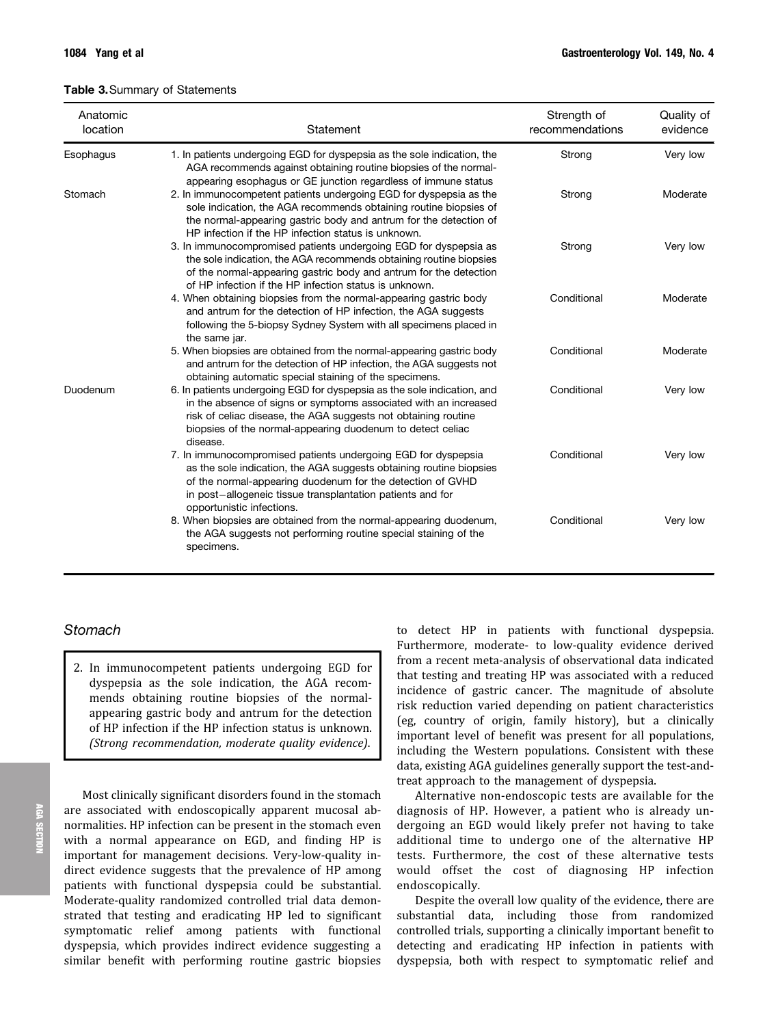<span id="page-2-0"></span>

| Anatomic<br>location | Statement                                                                                                                                                                                                                                                                                     | Strength of<br>recommendations | Quality of<br>evidence |
|----------------------|-----------------------------------------------------------------------------------------------------------------------------------------------------------------------------------------------------------------------------------------------------------------------------------------------|--------------------------------|------------------------|
| Esophagus            | 1. In patients undergoing EGD for dyspepsia as the sole indication, the<br>AGA recommends against obtaining routine biopsies of the normal-<br>appearing esophagus or GE junction regardless of immune status                                                                                 | Strong                         | Very low               |
| Stomach              | 2. In immunocompetent patients undergoing EGD for dyspepsia as the<br>sole indication, the AGA recommends obtaining routine biopsies of<br>the normal-appearing gastric body and antrum for the detection of<br>HP infection if the HP infection status is unknown.                           | Strong                         | Moderate               |
|                      | 3. In immunocompromised patients undergoing EGD for dyspepsia as<br>the sole indication, the AGA recommends obtaining routine biopsies<br>of the normal-appearing gastric body and antrum for the detection<br>of HP infection if the HP infection status is unknown.                         | Strong                         | Very low               |
|                      | 4. When obtaining biopsies from the normal-appearing gastric body<br>and antrum for the detection of HP infection, the AGA suggests<br>following the 5-biopsy Sydney System with all specimens placed in<br>the same jar.                                                                     | Conditional                    | Moderate               |
|                      | 5. When biopsies are obtained from the normal-appearing gastric body<br>and antrum for the detection of HP infection, the AGA suggests not<br>obtaining automatic special staining of the specimens.                                                                                          | Conditional                    | Moderate               |
| Duodenum             | 6. In patients undergoing EGD for dyspepsia as the sole indication, and<br>in the absence of signs or symptoms associated with an increased<br>risk of celiac disease, the AGA suggests not obtaining routine<br>biopsies of the normal-appearing duodenum to detect celiac<br>disease.       | Conditional                    | Very low               |
|                      | 7. In immunocompromised patients undergoing EGD for dyspepsia<br>as the sole indication, the AGA suggests obtaining routine biopsies<br>of the normal-appearing duodenum for the detection of GVHD<br>in post-allogeneic tissue transplantation patients and for<br>opportunistic infections. | Conditional                    | Very low               |
|                      | 8. When biopsies are obtained from the normal-appearing duodenum,<br>the AGA suggests not performing routine special staining of the<br>specimens.                                                                                                                                            | Conditional                    | Very low               |

# **Stomach**

2. In immunocompetent patients undergoing EGD for dyspepsia as the sole indication, the AGA recommends obtaining routine biopsies of the normalappearing gastric body and antrum for the detection of HP infection if the HP infection status is unknown. (Strong recommendation, moderate quality evidence).

Most clinically significant disorders found in the stomach are associated with endoscopically apparent mucosal abnormalities. HP infection can be present in the stomach even with a normal appearance on EGD, and finding HP is important for management decisions. Very-low-quality indirect evidence suggests that the prevalence of HP among patients with functional dyspepsia could be substantial. Moderate-quality randomized controlled trial data demonstrated that testing and eradicating HP led to significant symptomatic relief among patients with functional dyspepsia, which provides indirect evidence suggesting a similar benefit with performing routine gastric biopsies

to detect HP in patients with functional dyspepsia. Furthermore, moderate- to low-quality evidence derived from a recent meta-analysis of observational data indicated that testing and treating HP was associated with a reduced incidence of gastric cancer. The magnitude of absolute risk reduction varied depending on patient characteristics (eg, country of origin, family history), but a clinically important level of benefit was present for all populations, including the Western populations. Consistent with these data, existing AGA guidelines generally support the test-andtreat approach to the management of dyspepsia.

Alternative non-endoscopic tests are available for the diagnosis of HP. However, a patient who is already undergoing an EGD would likely prefer not having to take additional time to undergo one of the alternative HP tests. Furthermore, the cost of these alternative tests would offset the cost of diagnosing HP infection endoscopically.

Despite the overall low quality of the evidence, there are substantial data, including those from randomized controlled trials, supporting a clinically important benefit to detecting and eradicating HP infection in patients with dyspepsia, both with respect to symptomatic relief and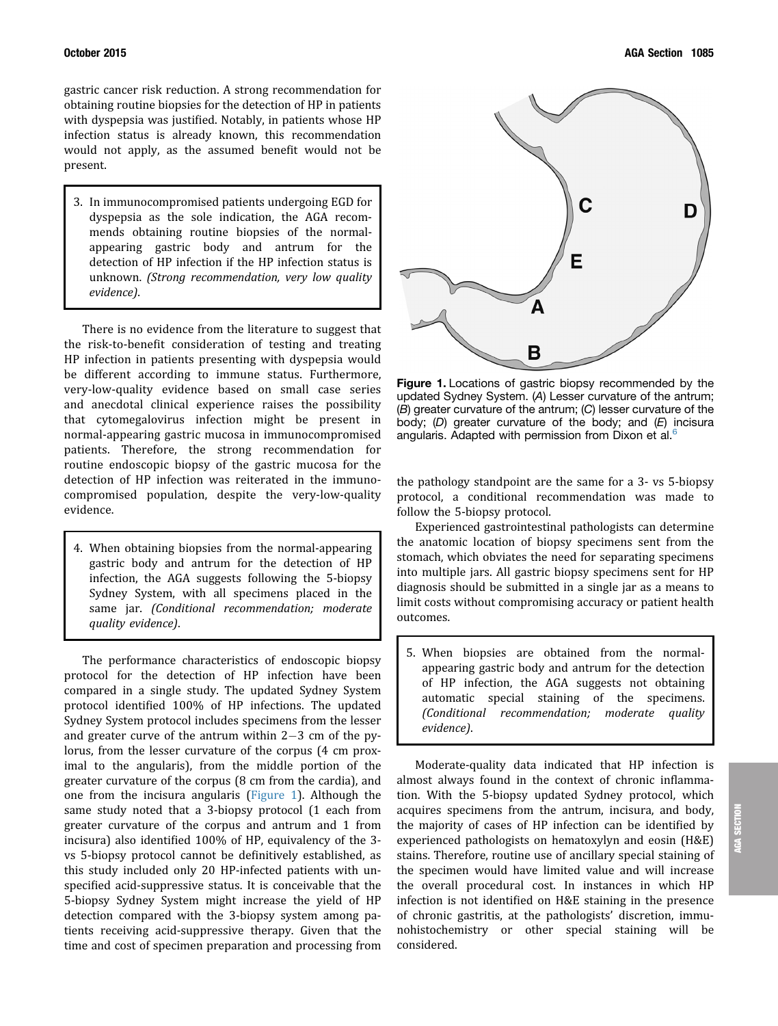gastric cancer risk reduction. A strong recommendation for obtaining routine biopsies for the detection of HP in patients with dyspepsia was justified. Notably, in patients whose HP infection status is already known, this recommendation would not apply, as the assumed benefit would not be present.

3. In immunocompromised patients undergoing EGD for dyspepsia as the sole indication, the AGA recommends obtaining routine biopsies of the normalappearing gastric body and antrum for the detection of HP infection if the HP infection status is unknown. (Strong recommendation, very low quality evidence).

There is no evidence from the literature to suggest that the risk-to-benefit consideration of testing and treating HP infection in patients presenting with dyspepsia would be different according to immune status. Furthermore, very-low-quality evidence based on small case series and anecdotal clinical experience raises the possibility that cytomegalovirus infection might be present in normal-appearing gastric mucosa in immunocompromised patients. Therefore, the strong recommendation for routine endoscopic biopsy of the gastric mucosa for the detection of HP infection was reiterated in the immunocompromised population, despite the very-low-quality evidence.

4. When obtaining biopsies from the normal-appearing gastric body and antrum for the detection of HP infection, the AGA suggests following the 5-biopsy Sydney System, with all specimens placed in the same jar. (Conditional recommendation; moderate quality evidence).

The performance characteristics of endoscopic biopsy protocol for the detection of HP infection have been compared in a single study. The updated Sydney System protocol identified 100% of HP infections. The updated Sydney System protocol includes specimens from the lesser and greater curve of the antrum within  $2-3$  cm of the pylorus, from the lesser curvature of the corpus (4 cm proximal to the angularis), from the middle portion of the greater curvature of the corpus (8 cm from the cardia), and one from the incisura angularis (Figure 1). Although the same study noted that a 3-biopsy protocol (1 each from greater curvature of the corpus and antrum and 1 from incisura) also identified 100% of HP, equivalency of the 3 vs 5-biopsy protocol cannot be definitively established, as this study included only 20 HP-infected patients with unspecified acid-suppressive status. It is conceivable that the 5-biopsy Sydney System might increase the yield of HP detection compared with the 3-biopsy system among patients receiving acid-suppressive therapy. Given that the time and cost of specimen preparation and processing from



Figure 1. Locations of gastric biopsy recommended by the updated Sydney System. (A) Lesser curvature of the antrum; (B) greater curvature of the antrum; (C) lesser curvature of the body; (D) greater curvature of the body; and  $(E)$  incisura angularis. Adapted with permission from Dixon et al.<sup>6</sup>

the pathology standpoint are the same for a 3- vs 5-biopsy protocol, a conditional recommendation was made to follow the 5-biopsy protocol.

Experienced gastrointestinal pathologists can determine the anatomic location of biopsy specimens sent from the stomach, which obviates the need for separating specimens into multiple jars. All gastric biopsy specimens sent for HP diagnosis should be submitted in a single jar as a means to limit costs without compromising accuracy or patient health outcomes.

5. When biopsies are obtained from the normalappearing gastric body and antrum for the detection of HP infection, the AGA suggests not obtaining automatic special staining of the specimens. (Conditional recommendation; moderate quality evidence).

Moderate-quality data indicated that HP infection is almost always found in the context of chronic inflammation. With the 5-biopsy updated Sydney protocol, which acquires specimens from the antrum, incisura, and body, the majority of cases of HP infection can be identified by experienced pathologists on hematoxylyn and eosin (H&E) stains. Therefore, routine use of ancillary special staining of the specimen would have limited value and will increase the overall procedural cost. In instances in which HP infection is not identified on H&E staining in the presence of chronic gastritis, at the pathologists' discretion, immunohistochemistry or other special staining will be considered.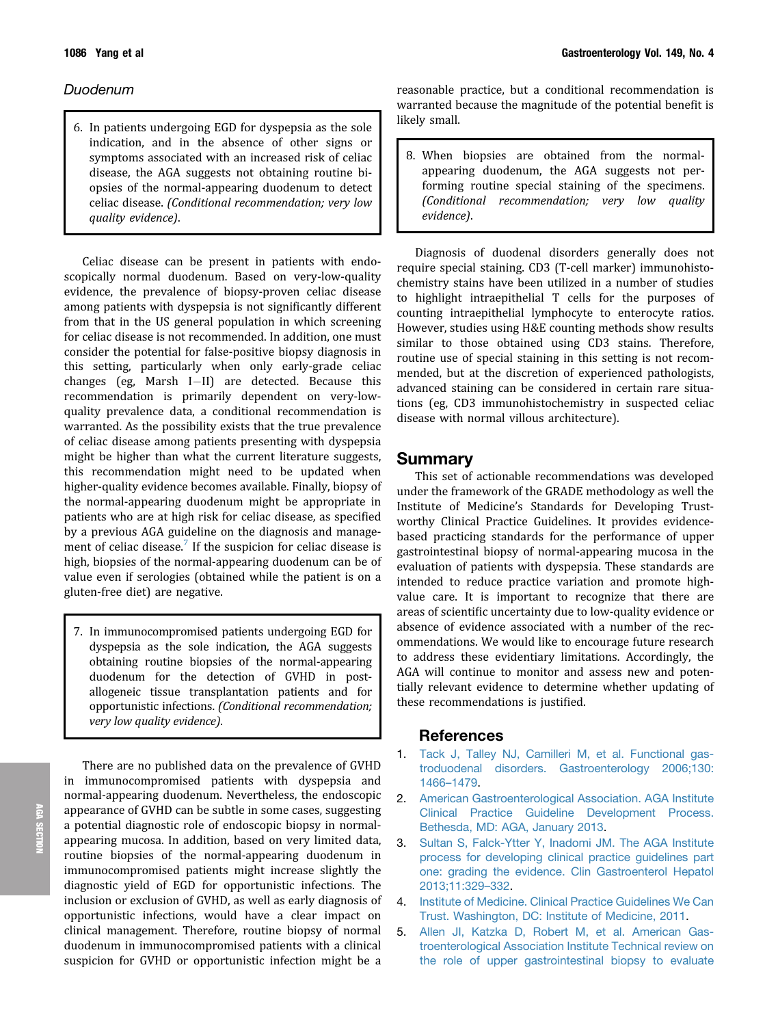### <span id="page-4-0"></span>Duodenum

6. In patients undergoing EGD for dyspepsia as the sole indication, and in the absence of other signs or symptoms associated with an increased risk of celiac disease, the AGA suggests not obtaining routine biopsies of the normal-appearing duodenum to detect celiac disease. (Conditional recommendation; very low quality evidence).

Celiac disease can be present in patients with endoscopically normal duodenum. Based on very-low-quality evidence, the prevalence of biopsy-proven celiac disease among patients with dyspepsia is not significantly different from that in the US general population in which screening for celiac disease is not recommended. In addition, one must consider the potential for false-positive biopsy diagnosis in this setting, particularly when only early-grade celiac changes (eg, Marsh I-II) are detected. Because this recommendation is primarily dependent on very-lowquality prevalence data, a conditional recommendation is warranted. As the possibility exists that the true prevalence of celiac disease among patients presenting with dyspepsia might be higher than what the current literature suggests, this recommendation might need to be updated when higher-quality evidence becomes available. Finally, biopsy of the normal-appearing duodenum might be appropriate in patients who are at high risk for celiac disease, as specified by a previous AGA guideline on the diagnosis and manage-ment of celiac disease.<sup>[7](#page-5-0)</sup> If the suspicion for celiac disease is high, biopsies of the normal-appearing duodenum can be of value even if serologies (obtained while the patient is on a gluten-free diet) are negative.

7. In immunocompromised patients undergoing EGD for dyspepsia as the sole indication, the AGA suggests obtaining routine biopsies of the normal-appearing duodenum for the detection of GVHD in postallogeneic tissue transplantation patients and for opportunistic infections. (Conditional recommendation; very low quality evidence).

There are no published data on the prevalence of GVHD in immunocompromised patients with dyspepsia and normal-appearing duodenum. Nevertheless, the endoscopic appearance of GVHD can be subtle in some cases, suggesting a potential diagnostic role of endoscopic biopsy in normalappearing mucosa. In addition, based on very limited data, routine biopsies of the normal-appearing duodenum in immunocompromised patients might increase slightly the diagnostic yield of EGD for opportunistic infections. The inclusion or exclusion of GVHD, as well as early diagnosis of opportunistic infections, would have a clear impact on clinical management. Therefore, routine biopsy of normal duodenum in immunocompromised patients with a clinical suspicion for GVHD or opportunistic infection might be a

reasonable practice, but a conditional recommendation is warranted because the magnitude of the potential benefit is likely small.

8. When biopsies are obtained from the normalappearing duodenum, the AGA suggests not performing routine special staining of the specimens. (Conditional recommendation; very low quality evidence).

Diagnosis of duodenal disorders generally does not require special staining. CD3 (T-cell marker) immunohistochemistry stains have been utilized in a number of studies to highlight intraepithelial T cells for the purposes of counting intraepithelial lymphocyte to enterocyte ratios. However, studies using H&E counting methods show results similar to those obtained using CD3 stains. Therefore, routine use of special staining in this setting is not recommended, but at the discretion of experienced pathologists, advanced staining can be considered in certain rare situations (eg, CD3 immunohistochemistry in suspected celiac disease with normal villous architecture).

# Summary

This set of actionable recommendations was developed under the framework of the GRADE methodology as well the Institute of Medicine's Standards for Developing Trustworthy Clinical Practice Guidelines. It provides evidencebased practicing standards for the performance of upper gastrointestinal biopsy of normal-appearing mucosa in the evaluation of patients with dyspepsia. These standards are intended to reduce practice variation and promote highvalue care. It is important to recognize that there are areas of scientific uncertainty due to low-quality evidence or absence of evidence associated with a number of the recommendations. We would like to encourage future research to address these evidentiary limitations. Accordingly, the AGA will continue to monitor and assess new and potentially relevant evidence to determine whether updating of these recommendations is justified.

## References

- 1. [Tack J, Talley NJ, Camilleri M, et al. Functional gas](http://refhub.elsevier.com/S0016-5085(15)01065-3/sref1)[troduodenal disorders. Gastroenterology 2006;130:](http://refhub.elsevier.com/S0016-5085(15)01065-3/sref1) [1466](http://refhub.elsevier.com/S0016-5085(15)01065-3/sref1)–[1479](http://refhub.elsevier.com/S0016-5085(15)01065-3/sref1).
- 2. [American Gastroenterological Association. AGA Institute](http://refhub.elsevier.com/S0016-5085(15)01065-3/sref2) [Clinical Practice Guideline Development Process.](http://refhub.elsevier.com/S0016-5085(15)01065-3/sref2) [Bethesda, MD: AGA, January 2013.](http://refhub.elsevier.com/S0016-5085(15)01065-3/sref2)
- 3. [Sultan S, Falck-Ytter Y, Inadomi JM. The AGA Institute](http://refhub.elsevier.com/S0016-5085(15)01065-3/sref3) [process for developing clinical practice guidelines part](http://refhub.elsevier.com/S0016-5085(15)01065-3/sref3) [one: grading the evidence. Clin Gastroenterol Hepatol](http://refhub.elsevier.com/S0016-5085(15)01065-3/sref3) [2013;11:329](http://refhub.elsevier.com/S0016-5085(15)01065-3/sref3)–[332](http://refhub.elsevier.com/S0016-5085(15)01065-3/sref3).
- 4. [Institute of Medicine. Clinical Practice Guidelines We Can](http://refhub.elsevier.com/S0016-5085(15)01065-3/sref4) [Trust. Washington, DC: Institute of Medicine, 2011.](http://refhub.elsevier.com/S0016-5085(15)01065-3/sref4)
- 5. [Allen JI, Katzka D, Robert M, et al. American Gas](http://refhub.elsevier.com/S0016-5085(15)01065-3/sref5)[troenterological Association Institute Technical review on](http://refhub.elsevier.com/S0016-5085(15)01065-3/sref5) [the role of upper gastrointestinal biopsy to evaluate](http://refhub.elsevier.com/S0016-5085(15)01065-3/sref5)